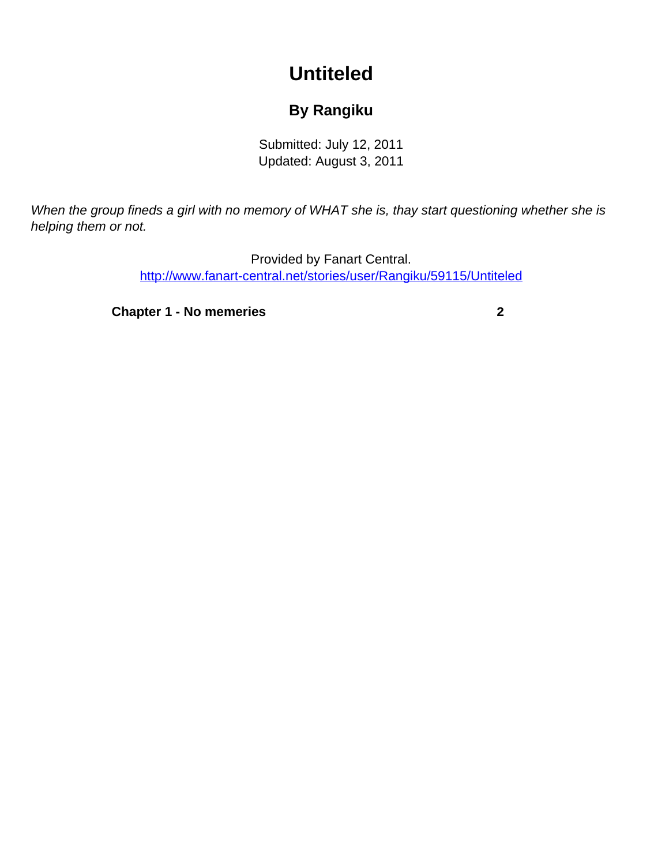## **Untiteled**

## **By Rangiku**

Submitted: July 12, 2011 Updated: August 3, 2011

<span id="page-0-0"></span>When the group fineds a girl with no memory of WHAT she is, thay start questioning whether she is helping them or not.

> Provided by Fanart Central. [http://www.fanart-central.net/stories/user/Rangiku/59115/Untiteled](#page-0-0)

**[Chapter 1 - No memeries](#page-1-0) [2](#page-1-0)**